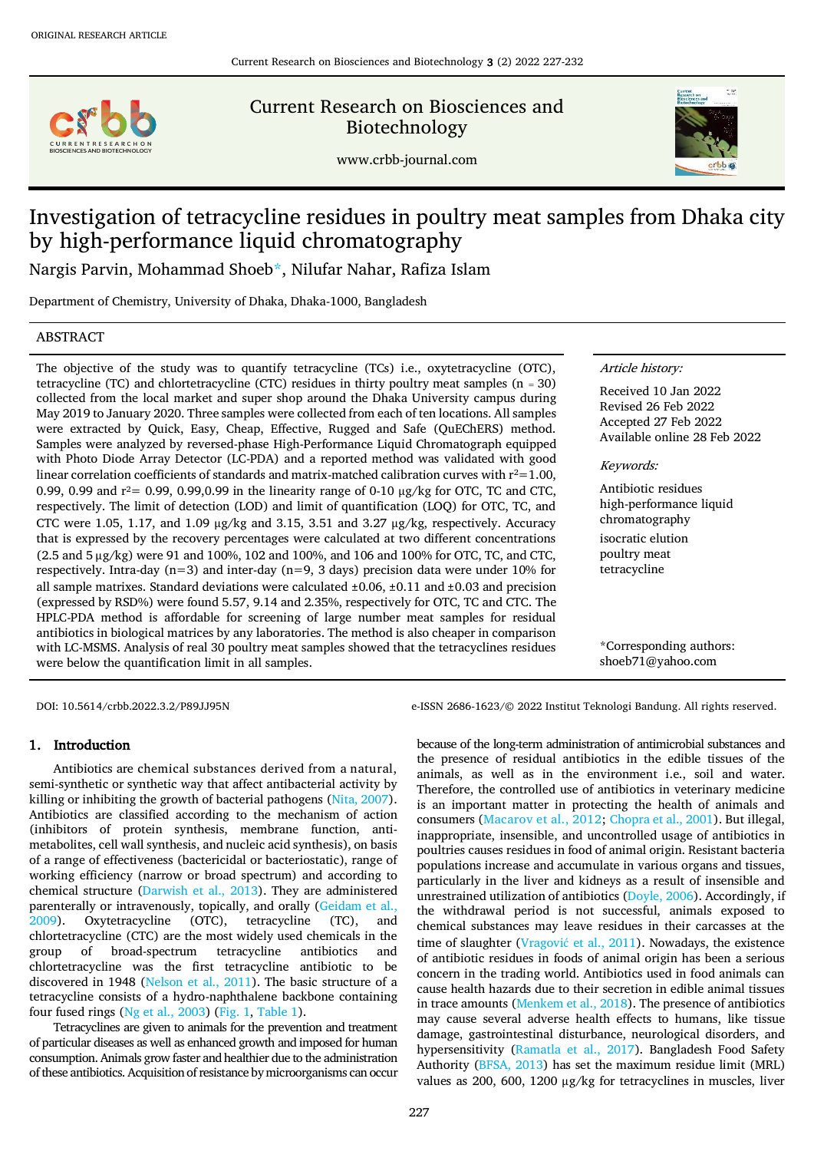

Current Research on Biosciences and Biotechnology

www.crbb-journal.com



# Investigation of tetracycline residues in poultry meat samples from Dhaka city by high-performance liquid chromatography

Nargis Parvin, Mohammad Shoe[b\\*,](#page-0-0) Nilufar Nahar, Rafiza Islam

Department of Chemistry, University of Dhaka, Dhaka-1000, Bangladesh

## ABSTRACT

The objective of the study was to quantify tetracycline (TCs) i.e., oxytetracycline (OTC), tetracycline (TC) and chlortetracycline (CTC) residues in thirty poultry meat samples ( $n = 30$ ) collected from the local market and super shop around the Dhaka University campus during May 2019 to January 2020. Three samples were collected from each of ten locations. All samples were extracted by Quick, Easy, Cheap, Effective, Rugged and Safe (QuEChERS) method. Samples were analyzed by reversed-phase High-Performance Liquid Chromatograph equipped with Photo Diode Array Detector (LC-PDA) and a reported method was validated with good linear correlation coefficients of standards and matrix-matched calibration curves with  $r^2$ =1.00, 0.99, 0.99 and  $r^2$  = 0.99, 0.99, 0.99 in the linearity range of 0-10 ug/kg for OTC, TC and CTC. respectively. The limit of detection (LOD) and limit of quantification (LOQ) for OTC, TC, and CTC were 1.05, 1.17, and 1.09  $\mu$ g/kg and 3.15, 3.51 and 3.27  $\mu$ g/kg, respectively. Accuracy that is expressed by the recovery percentages were calculated at two different concentrations (2.5 and 5 μg/kg) were 91 and 100%, 102 and 100%, and 106 and 100% for OTC, TC, and CTC, respectively. Intra-day  $(n=3)$  and inter-day  $(n=9, 3$  days) precision data were under 10% for all sample matrixes. Standard deviations were calculated  $\pm 0.06$ ,  $\pm 0.11$  and  $\pm 0.03$  and precision (expressed by RSD%) were found 5.57, 9.14 and 2.35%, respectively for OTC, TC and CTC. The HPLC-PDA method is affordable for screening of large number meat samples for residual antibiotics in biological matrices by any laboratories. The method is also cheaper in comparison with LC-MSMS. Analysis of real 30 poultry meat samples showed that the tetracyclines residues were below the quantification limit in all samples.

#### Article history:

Received 10 Jan 2022 Revised 26 Feb 2022 Accepted 27 Feb 2022 Available online 28 Feb 2022

Keywords:

Antibiotic residues high-performance liquid chromatography isocratic elution poultry meat tetracycline

<span id="page-0-0"></span>\*Corresponding authors: [shoeb71@yahoo.com](mailto:shoeb71@yahoo.com)

## 1. Introduction

Antibiotics are chemical substances derived from a natural, semi-synthetic or synthetic way that affect antibacterial activity by killing or inhibiting the growth of bacterial pathogens [\(Nita, 2007\)](#page-5-0). Antibiotics are classified according to the mechanism of action (inhibitors of protein synthesis, membrane function, antimetabolites, cell wall synthesis, and nucleic acid synthesis), on basis of a range of effectiveness (bactericidal or bacteriostatic), range of working efficiency (narrow or broad spectrum) and according to chemical structure [\(Darwish et al., 2013\)](#page-4-0). They are administered parenterally or intravenously, topically, and orally [\(Geidam et al.,](#page-4-1)  [2009\)](#page-4-1). Oxytetracycline (OTC), tetracycline (TC), and chlortetracycline (CTC) are the most widely used chemicals in the group of broad-spectrum tetracycline antibiotics and chlortetracycline was the first tetracycline antibiotic to be discovered in 1948 [\(Nelson et al., 2011\)](#page-5-1). The basic structure of a tetracycline consists of a hydro-naphthalene backbone containing four fused rings [\(Ng et al., 2003\)](#page-5-2) [\(Fig. 1,](#page-1-0) [Table 1\)](#page-1-1).

Tetracyclines are given to animals for the prevention and treatment of particular diseases as well as enhanced growth and imposed for human consumption. Animals grow faster and healthier due to the administration of these antibiotics. Acquisition of resistance by microorganisms can occur

DOI: 10.5614/crbb.2022.3.2/P89JJ95N e-ISSN 2686-1623/© 2022 Institut Teknologi Bandung. All rights reserved.

because of the long-term administration of antimicrobial substances and the presence of residual antibiotics in the edible tissues of the animals, as well as in the environment i.e., soil and water. Therefore, the controlled use of antibiotics in veterinary medicine is an important matter in protecting the health of animals and consumers [\(Macarov et al., 2012;](#page-5-3) [Chopra et al., 2001\)](#page-4-2). But illegal, inappropriate, insensible, and uncontrolled usage of antibiotics in poultries causes residues in food of animal origin. Resistant bacteria populations increase and accumulate in various organs and tissues, particularly in the liver and kidneys as a result of insensible and unrestrained utilization of antibiotics [\(Doyle, 2006\)](#page-4-3). Accordingly, if the withdrawal period is not successful, animals exposed to chemical substances may leave residues in their carcasses at the time of slaughter (Vragović [et al., 2011\)](#page-5-4). Nowadays, the existence of antibiotic residues in foods of animal origin has been a serious concern in the trading world. Antibiotics used in food animals can cause health hazards due to their secretion in edible animal tissues in trace amounts [\(Menkem et al., 2018\)](#page-5-5). The presence of antibiotics may cause several adverse health effects to humans, like tissue damage, gastrointestinal disturbance, neurological disorders, and hypersensitivity [\(Ramatla et al., 2017\)](#page-5-6). Bangladesh Food Safety Authority [\(BFSA, 2013\)](#page-4-4) has set the maximum residue limit (MRL) values as 200, 600, 1200 µg/kg for tetracyclines in muscles, liver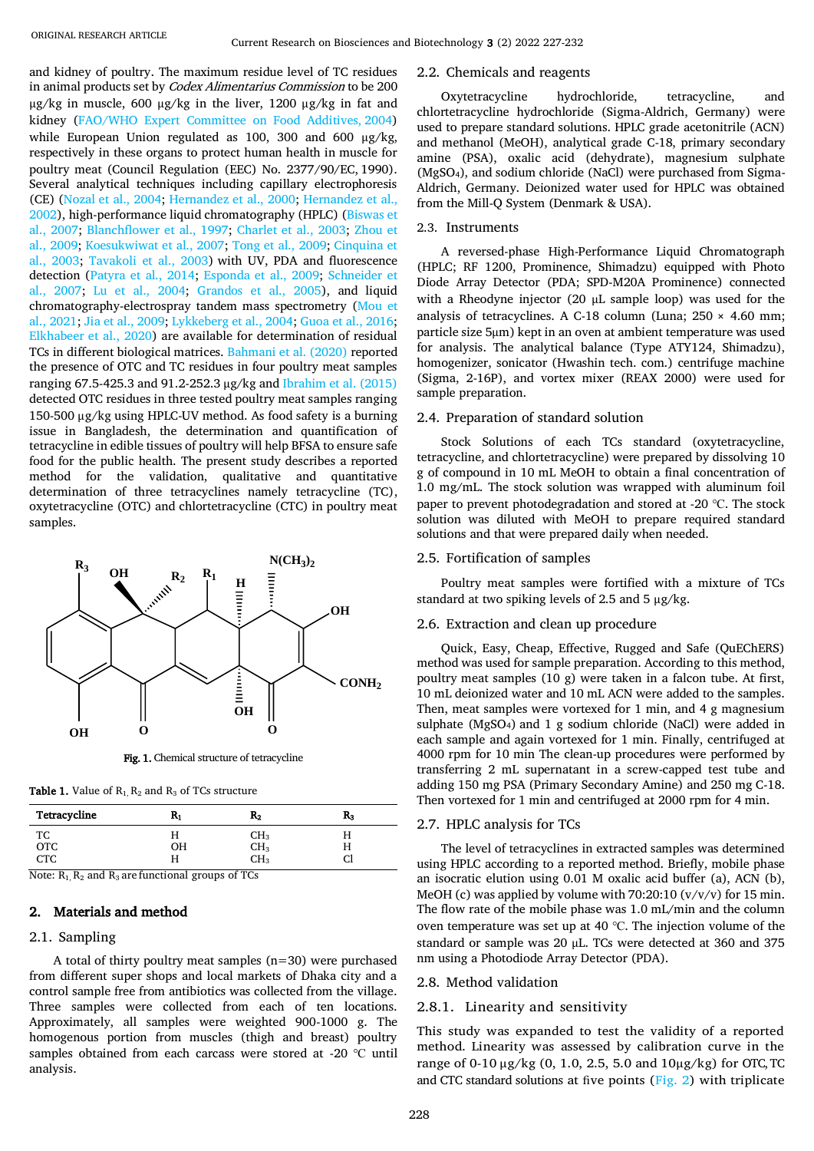and kidney of poultry. The maximum residue level of TC residues in animal products set by Codex Alimentarius Commission to be 200 µg/kg in muscle, 600 µg/kg in the liver, 1200 µg/kg in fat and kidney [\(FAO/WHO Expert Committee on Food Additives,](#page-4-5) 2004) while European Union regulated as 100, 300 and 600 ug/kg, respectively in these organs to protect human health in muscle for poultry meat (Council Regulation (EEC) No. 2377/90/EC, 1990). Several analytical techniques including capillary electrophoresis (CE) [\(Nozal et al., 2004;](#page-5-7) [Hernandez et al., 2000;](#page-4-6) [Hernandez et](#page-4-7) al., [2002\)](#page-4-7), high-performance liquid chromatography (HPLC) [\(Biswas et](#page-4-8)  [al., 2007;](#page-4-8) [Blanchflower et al., 1997;](#page-4-9) [Charlet et al., 2003;](#page-4-10) [Zhou et](#page-5-8)  [al., 2009;](#page-5-8) [Koesukwiwat et al., 2007;](#page-4-11) [Tong et al., 2009;](#page-5-9) [Cinquina et](#page-4-12)  [al., 2003;](#page-4-12) [Tavakoli et al., 2003\)](#page-5-10) with UV, PDA and fluorescence detection [\(Patyra et al., 2014;](#page-5-11) [Esponda et al., 2009;](#page-4-13) [Schneider et](#page-5-12)  [al., 2007;](#page-5-12) [Lu et al., 2004;](#page-5-13) [Grandos et al., 2005\)](#page-4-14), and liquid chromatography-electrospray tandem mass spectrometry [\(Mou et](#page-5-14)  [al., 2021;](#page-5-14) [Jia et al., 2009;](#page-4-15) [Lykkeberg et al., 2004;](#page-5-15) [Guoa et al., 2016;](#page-4-16) [Elkhabeer et al., 2020\)](#page-4-17) are available for determination of residual TCs in different biological matrices. [Bahmani et al. \(2020\)](#page-4-18) reported the presence of OTC and TC residues in four poultry meat samples ranging 67.5-425.3 and 91.2-252.3 µg/kg an[d Ibrahim et al. \(2015\)](#page-4-19) detected OTC residues in three tested poultry meat samples ranging 150-500 µg/kg using HPLC-UV method. As food safety is a burning issue in Bangladesh, the determination and quantification of tetracycline in edible tissues of poultry will help BFSA to ensure safe food for the public health. The present study describes a reported method for the validation, qualitative and quantitative determination of three tetracyclines namely tetracycline (TC), oxytetracycline (OTC) and chlortetracycline (CTC) in poultry meat samples.



Fig. 1. Chemical structure of tetracycline

<span id="page-1-1"></span><span id="page-1-0"></span>**Table 1.** Value of  $R_1$ ,  $R_2$  and  $R_3$  of TCs structure

| Tetracycline     | ĸ,          | $\rm R_2$                                        | $R_3$ |
|------------------|-------------|--------------------------------------------------|-------|
| TC<br>OTC<br>CTC | п           | CH <sub>3</sub>                                  | п     |
|                  | OН          |                                                  | п     |
| $-$<br>__        | п<br>$\sim$ | CH <sub>3</sub><br>CH <sub>3</sub><br>$\sim$ $-$ | u     |

Note:  $R_1$ ,  $R_2$  and  $R_3$  are functional groups of TCs

## 2. Materials and method

## 2.1. Sampling

A total of thirty poultry meat samples (n=30) were purchased from different super shops and local markets of Dhaka city and a control sample free from antibiotics was collected from the village. Three samples were collected from each of ten locations. Approximately, all samples were weighted 900-1000 g. The homogenous portion from muscles (thigh and breast) poultry samples obtained from each carcass were stored at -20 °C until analysis.

#### 2.2. Chemicals and reagents

Oxytetracycline hydrochloride, tetracycline, and chlortetracycline hydrochloride (Sigma-Aldrich, Germany) were used to prepare standard solutions. HPLC grade acetonitrile (ACN) and methanol (MeOH), analytical grade C-18, primary secondary amine (PSA), oxalic acid (dehydrate), magnesium sulphate (MgSO4), and sodium chloride (NaCl) were purchased from Sigma-Aldrich, Germany. Deionized water used for HPLC was obtained from the Mill-Q System (Denmark & USA).

#### 2.3. Instruments

A reversed-phase High-Performance Liquid Chromatograph (HPLC; RF 1200, Prominence, Shimadzu) equipped with Photo Diode Array Detector (PDA; SPD-M20A Prominence) connected with a Rheodyne injector (20 µL sample loop) was used for the analysis of tetracyclines. A C-18 column (Luna; 250 × 4.60 mm; particle size 5µm) kept in an oven at ambient temperature was used for analysis. The analytical balance (Type ATY124, Shimadzu), homogenizer, sonicator (Hwashin tech. com.) centrifuge machine (Sigma, 2-16P), and vortex mixer (REAX 2000) were used for sample preparation.

#### 2.4. Preparation of standard solution

Stock Solutions of each TCs standard (oxytetracycline, tetracycline, and chlortetracycline) were prepared by dissolving 10 g of compound in 10 mL MeOH to obtain a final concentration of 1.0 mg/mL. The stock solution was wrapped with aluminum foil paper to prevent photodegradation and stored at -20 ℃. The stock solution was diluted with MeOH to prepare required standard solutions and that were prepared daily when needed.

#### 2.5. Fortification of samples

Poultry meat samples were fortified with a mixture of TCs standard at two spiking levels of 2.5 and 5 µg/kg.

## 2.6. Extraction and clean up procedure

Quick, Easy, Cheap, Effective, Rugged and Safe (QuEChERS) method was used for sample preparation. According to this method, poultry meat samples (10 g) were taken in a falcon tube. At first, 10 mL deionized water and 10 mL ACN were added to the samples. Then, meat samples were vortexed for 1 min, and 4 g magnesium sulphate (MgSO4) and 1 g sodium chloride (NaCl) were added in each sample and again vortexed for 1 min. Finally, centrifuged at 4000 rpm for 10 min The clean-up procedures were performed by transferring 2 mL supernatant in a screw-capped test tube and adding 150 mg PSA (Primary Secondary Amine) and 250 mg C-18. Then vortexed for 1 min and centrifuged at 2000 rpm for 4 min.

#### 2.7. HPLC analysis for TCs

The level of tetracyclines in extracted samples was determined using HPLC according to a reported method. Briefly, mobile phase an isocratic elution using 0.01 M oxalic acid buffer (a), ACN (b), MeOH (c) was applied by volume with  $70:20:10$  (y/y/y) for 15 min. The flow rate of the mobile phase was 1.0 mL/min and the column oven temperature was set up at 40 ℃. The injection volume of the standard or sample was 20 µL. TCs were detected at 360 and 375 nm using a Photodiode Array Detector (PDA).

## 2.8. Method validation

## 2.8.1. Linearity and sensitivity

This study was expanded to test the validity of a reported method. Linearity was assessed by calibration curve in the range of 0-10 µg/kg (0, 1.0, 2.5, 5.0 and 10µg/kg) for OTC, TC and CTC standard solutions at five points [\(Fig. 2\)](#page-2-0) with triplicate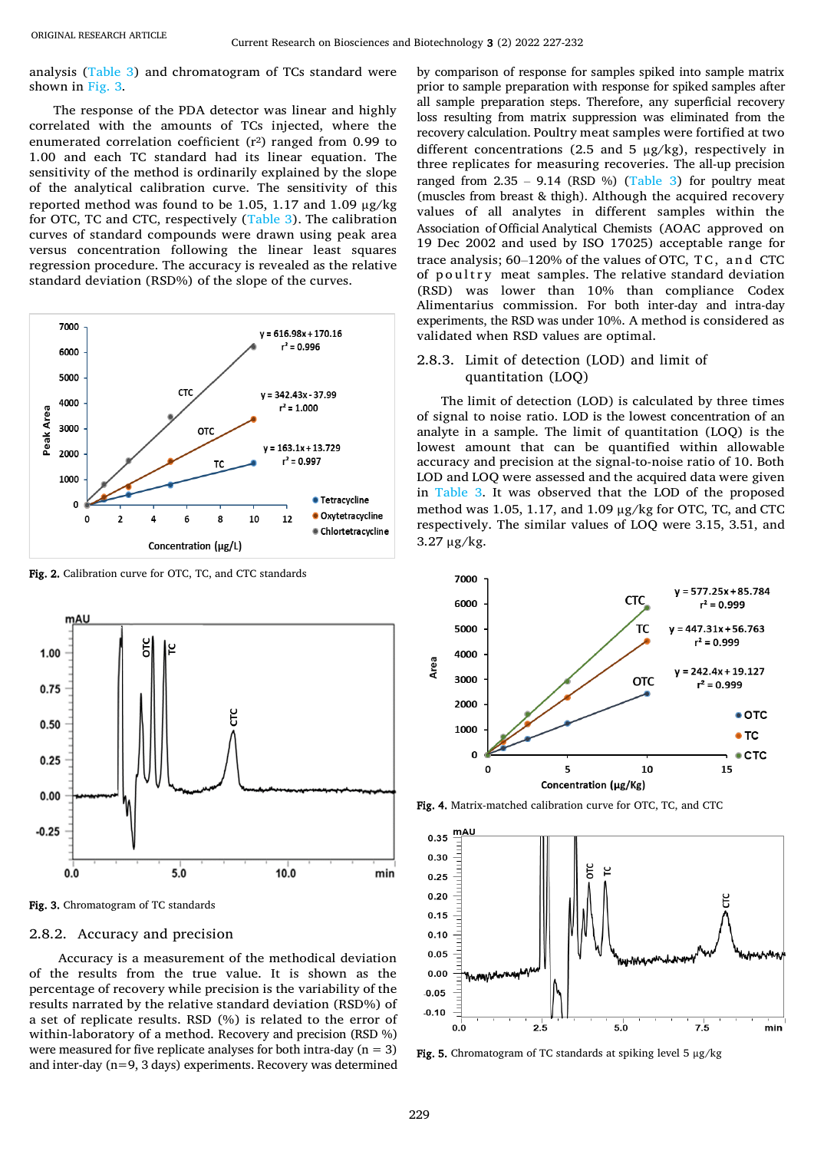analysis [\(Table 3\)](#page-3-0) and chromatogram of TCs standard were shown in [Fig.](#page-2-1) 3.

The response of the PDA detector was linear and highly correlated with the amounts of TCs injected, where the enumerated correlation coefficient  $(r^2)$  ranged from 0.99 to 1.00 and each TC standard had its linear equation. The sensitivity of the method is ordinarily explained by the slope of the analytical calibration curve. The sensitivity of this reported method was found to be 1.05, 1.17 and 1.09 µg/kg for OTC, TC and CTC, respectively [\(Table 3\)](#page-3-0). The calibration curves of standard compounds were drawn using peak area versus concentration following the linear least squares regression procedure. The accuracy is revealed as the relative standard deviation (RSD%) of the slope of the curves.



<span id="page-2-0"></span>Fig. 2. Calibration curve for OTC, TC, and CTC standards



<span id="page-2-1"></span>Fig. 3. Chromatogram of TC standards

## 2.8.2. Accuracy and precision

Accuracy is a measurement of the methodical deviation of the results from the true value. It is shown as the percentage of recovery while precision is the variability of the results narrated by the relative standard deviation (RSD%) of a set of replicate results. RSD (%) is related to the error of within-laboratory of a method. Recovery and precision (RSD %) were measured for five replicate analyses for both intra-day  $(n = 3)$ and inter-day (n=9, 3 days) experiments. Recovery was determined by comparison of response for samples spiked into sample matrix prior to sample preparation with response for spiked samples after all sample preparation steps. Therefore, any superficial recovery loss resulting from matrix suppression was eliminated from the recovery calculation. Poultry meat samples were fortified at two different concentrations (2.5 and 5  $\mu$ g/kg), respectively in three replicates for measuring recoveries. The all-up precision ranged from  $2.35 - 9.14$  (RSD %) [\(Table 3\)](#page-3-0) for poultry meat (muscles from breast & thigh). Although the acquired recovery values of all analytes in different samples within the Association of Official Analytical Chemists (AOAC approved on 19 Dec 2002 and used by ISO 17025) acceptable range for trace analysis; 60–120% of the values of OTC, T C, a n d CTC of poultry meat samples. The relative standard deviation (RSD) was lower than 10% than compliance Codex Alimentarius commission. For both inter-day and intra-day experiments, the RSD was under 10%. A method is considered as validated when RSD values are optimal.

## 2.8.3. Limit of detection (LOD) and limit of quantitation (LOQ)

The limit of detection (LOD) is calculated by three times of signal to noise ratio. LOD is the lowest concentration of an analyte in a sample. The limit of quantitation (LOQ) is the lowest amount that can be quantified within allowable accuracy and precision at the signal-to-noise ratio of 10. Both LOD and LOQ were assessed and the acquired data were given in [Table 3.](#page-3-0) It was observed that the LOD of the proposed method was 1.05, 1.17, and 1.09 µg/kg for OTC, TC, and CTC respectively. The similar values of LOQ were 3.15, 3.51, and 3.27 µg/kg.



Fig. 4. Matrix-matched calibration curve for OTC, TC, and CTC



<span id="page-2-2"></span>Fig. 5. Chromatogram of TC standards at spiking level 5  $\mu$ g/kg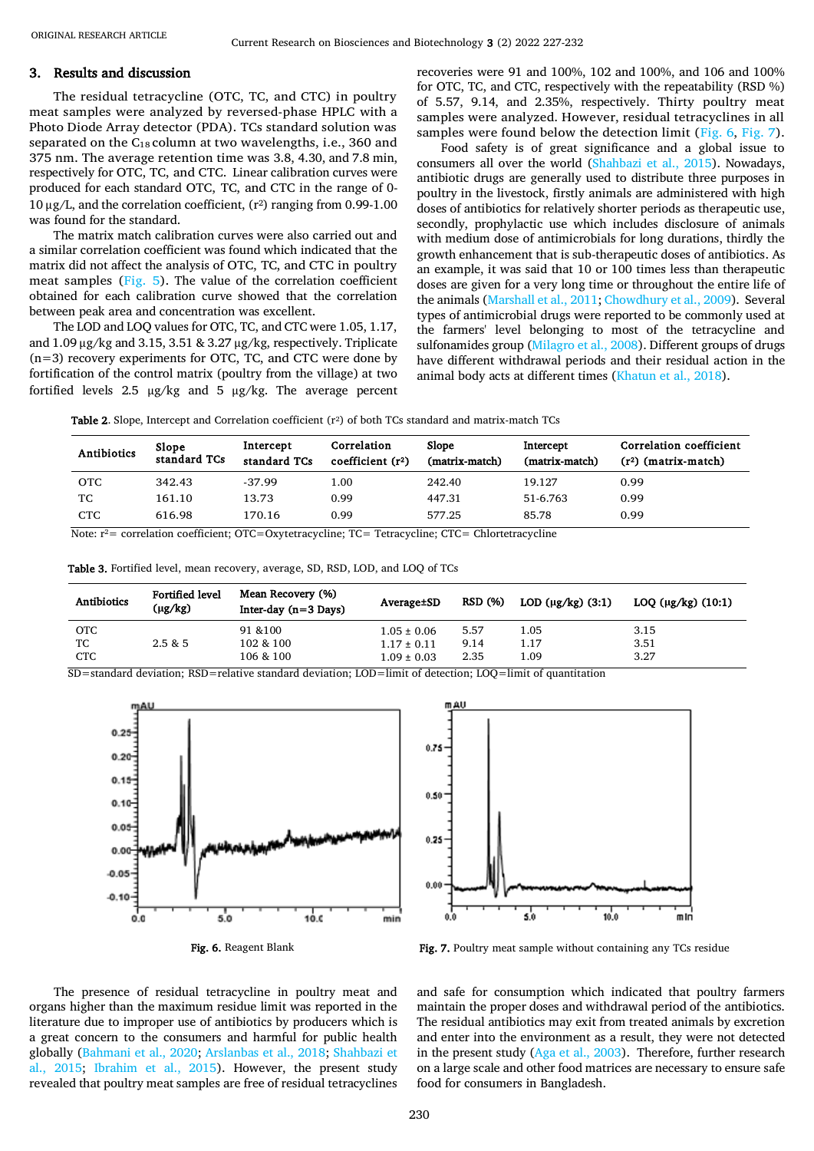#### 3. Results and discussion

The residual tetracycline (OTC, TC, and CTC) in poultry meat samples were analyzed by reversed-phase HPLC with a Photo Diode Array detector (PDA). TCs standard solution was separated on the  $C_{18}$  column at two wavelengths, i.e., 360 and 375 nm. The average retention time was 3.8, 4.30, and 7.8 min, respectively for OTC, TC, and CTC. Linear calibration curves were produced for each standard OTC, TC, and CTC in the range of 0- 10  $\mu$ g/L, and the correlation coefficient,  $(r^2)$  ranging from 0.99-1.00 was found for the standard.

The matrix match calibration curves were also carried out and a similar correlation coefficient was found which indicated that the matrix did not affect the analysis of OTC, TC, and CTC in poultry meat samples [\(Fig. 5\)](#page-2-2). The value of the correlation coefficient obtained for each calibration curve showed that the correlation between peak area and concentration was excellent.

The LOD and LOQ values for OTC, TC, and CTC were 1.05, 1.17, and 1.09 μg/kg and 3.15, 3.51 & 3.27 μg/kg, respectively. Triplicate (n=3) recovery experiments for OTC, TC, and CTC were done by fortification of the control matrix (poultry from the village) at two fortified levels 2.5 µg/kg and 5 µg/kg. The average percent recoveries were 91 and 100%, 102 and 100%, and 106 and 100% for OTC, TC, and CTC, respectively with the repeatability (RSD %) of 5.57, 9.14, and 2.35%, respectively. Thirty poultry meat samples were analyzed. However, residual tetracyclines in all samples were found below the detection limit [\(Fig.](#page-3-1) 6, [Fig.](#page-3-2) 7).

Food safety is of great significance and a global issue to consumers all over the world [\(Shahbazi et al., 2015\)](#page-5-16). Nowadays, antibiotic drugs are generally used to distribute three purposes in poultry in the livestock, firstly animals are administered with high doses of antibiotics for relatively shorter periods as therapeutic use, secondly, prophylactic use which includes disclosure of animals with medium dose of antimicrobials for long durations, thirdly the growth enhancement that is sub-therapeutic doses of antibiotics. As an example, it was said that 10 or 100 times less than therapeutic doses are given for a very long time or throughout the entire life of the animals [\(Marshall et al., 2011;](#page-5-17) [Chowdhury et al., 2009\)](#page-4-20). Several types of antimicrobial drugs were reported to be commonly used at the farmers' level belonging to most of the tetracycline and sulfonamides group [\(Milagro et al., 2008\)](#page-5-18). Different groups of drugs have different withdrawal periods and their residual action in the animal body acts at different times [\(Khatun et al., 2018\)](#page-4-21).

Table 2. Slope, Intercept and Correlation coefficient (r<sup>2</sup>) of both TCs standard and matrix-match TCs

| Antibiotics | Slope<br>standard TCs | Intercept<br>standard TCs | Correlation<br>coefficient $(r^2)$ | Slope<br>(matrix-match) | Intercept<br>(matrix-match) | Correlation coefficient<br>$(r2)$ (matrix-match) |
|-------------|-----------------------|---------------------------|------------------------------------|-------------------------|-----------------------------|--------------------------------------------------|
| <b>OTC</b>  | 342.43                | $-37.99$                  | 1.00                               | 242.40                  | 19.127                      | 0.99                                             |
| TC          | 161.10                | 13.73                     | 0.99                               | 447.31                  | 51-6.763                    | 0.99                                             |
| <b>CTC</b>  | 616.98                | 170.16                    | 0.99                               | 577.25                  | 85.78                       | 0.99                                             |

Note:  $r^2$  = correlation coefficient; OTC=Oxytetracycline; TC= Tetracycline; CTC= Chlortetracycline

<span id="page-3-0"></span>

| Table 3. Fortified level, mean recovery, average, SD, RSD, LOD, and LOQ of TCs |  |  |  |  |  |  |  |  |  |
|--------------------------------------------------------------------------------|--|--|--|--|--|--|--|--|--|
|--------------------------------------------------------------------------------|--|--|--|--|--|--|--|--|--|

| <b>Antibiotics</b> | <b>Fortified level</b><br>(µg/kg) | Mean Recovery (%)<br>Inter-day $(n=3 \text{ Days})$ | Average <b>SD</b> | <b>RSD</b> (%) | LOD $(\mu g/kg)$ (3:1) | LOQ $(\mu g/kg)$ (10:1) |
|--------------------|-----------------------------------|-----------------------------------------------------|-------------------|----------------|------------------------|-------------------------|
| <b>OTC</b>         |                                   | 91 & 100                                            | $1.05 \pm 0.06$   | 5.57           | 1.05                   | 3.15                    |
| TC                 | 2.5 & 5                           | 102 & 100                                           | $1.17 \pm 0.11$   | 9.14           | 1.17                   | 3.51                    |
| <b>CTC</b>         |                                   | 106 & 100                                           | $1.09 \pm 0.03$   | 2.35           | 1.09                   | 3.27                    |

SD=standard deviation; RSD=relative standard deviation; LOD=limit of detection; LOQ=limit of quantitation





<span id="page-3-2"></span>Fig. 7. Poultry meat sample without containing any TCs residue

<span id="page-3-1"></span>The presence of residual tetracycline in poultry meat and organs higher than the maximum residue limit was reported in the literature due to improper use of antibiotics by producers which is a great concern to the consumers and harmful for public health globally [\(Bahmani et al., 2020;](#page-4-18) [Arslanbas et al., 2018;](#page-4-22) [Shahbazi et](#page-5-16)  [al., 2015;](#page-5-16) [Ibrahim et al., 2015\)](#page-4-19). However, the present study revealed that poultry meat samples are free of residual tetracyclines and safe for consumption which indicated that poultry farmers maintain the proper doses and withdrawal period of the antibiotics. The residual antibiotics may exit from treated animals by excretion and enter into the environment as a result, they were not detected in the present study [\(Aga et al., 2003\)](#page-4-23). Therefore, further research on a large scale and other food matrices are necessary to ensure safe food for consumers in Bangladesh.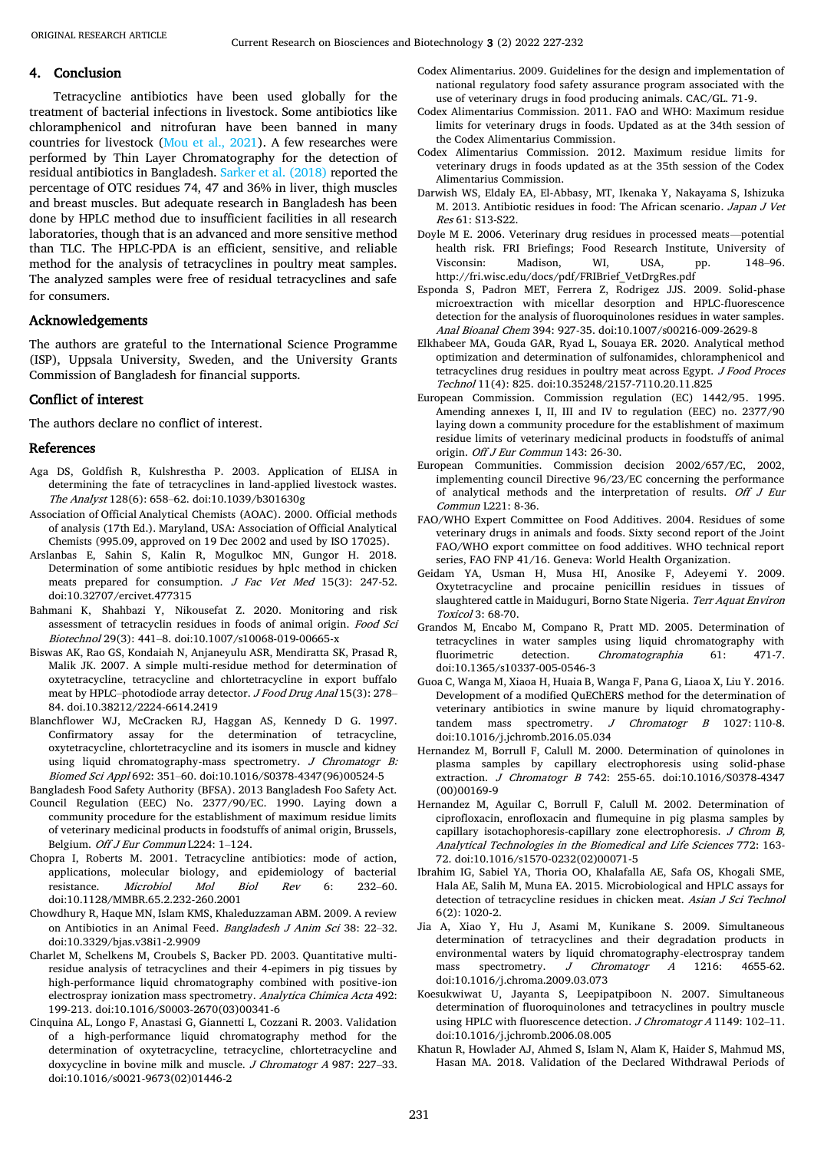### 4. Conclusion

Tetracycline antibiotics have been used globally for the treatment of bacterial infections in livestock. Some antibiotics like chloramphenicol and nitrofuran have been banned in many countries for livestock [\(Mou et al., 2021\)](#page-5-14). A few researches were performed by Thin Layer Chromatography for the detection of residual antibiotics in Bangladesh. [Sarker et al. \(2018\)](#page-5-19) reported the percentage of OTC residues 74, 47 and 36% in liver, thigh muscles and breast muscles. But adequate research in Bangladesh has been done by HPLC method due to insufficient facilities in all research laboratories, though that is an advanced and more sensitive method than TLC. The HPLC-PDA is an efficient, sensitive, and reliable method for the analysis of tetracyclines in poultry meat samples. The analyzed samples were free of residual tetracyclines and safe for consumers.

## Acknowledgements

The authors are grateful to the International Science Programme (ISP), Uppsala University, Sweden, and the University Grants Commission of Bangladesh for financial supports.

## Conflict of interest

The authors declare no conflict of interest.

#### References

- <span id="page-4-23"></span>Aga DS, Goldfish R, Kulshrestha P. 2003. Application of ELISA in determining the fate of tetracyclines in land-applied livestock wastes. The Analyst 128(6): 658–62. doi:10.1039/b301630g
- Association of Official Analytical Chemists (AOAC). 2000. Official methods of analysis (17th Ed.). Maryland, USA: Association of Official Analytical Chemists (995.09, approved on 19 Dec 2002 and used by ISO 17025).
- <span id="page-4-22"></span>Arslanbas E, Sahin S, Kalin R, Mogulkoc MN, Gungor H. 2018. Determination of some antibiotic residues by hplc method in chicken meats prepared for consumption. J Fac Vet Med 15(3): 247-52. doi:10.32707/ercivet.477315
- <span id="page-4-18"></span>[Bahmani](https://www.ncbi.nlm.nih.gov/pubmed/?term=Bahmani%20K%5BAuthor%5D&cauthor=true&cauthor_uid=32257528) K, [Shahbazi](https://www.ncbi.nlm.nih.gov/pubmed/?term=Shahbazi%20Y%5BAuthor%5D&cauthor=true&cauthor_uid=32257528) Y, [Nikousefat](https://www.ncbi.nlm.nih.gov/pubmed/?term=Nikousefat%20Z%5BAuthor%5D&cauthor=true&cauthor_uid=32257528) Z. 2020. Monitoring and risk assessment of tetracyclin residues in foods of animal origin. Food Sci Biotechnol 29(3): 441–8. doi:10.1007/s10068-019-00665-x
- <span id="page-4-8"></span>Biswas AK, Rao GS, Kondaiah N, Anjaneyulu ASR, Mendiratta SK, Prasad R, Malik JK. 2007. A simple multi-residue method for determination of oxytetracycline, tetracycline and chlortetracycline in export buffalo meat by HPLC–photodiode array detector. J Food Drug Anal 15(3): 278– 84. doi.10.38212/2224-6614.2419
- <span id="page-4-9"></span>Blanchflower WJ, McCracken RJ, Haggan AS, Kennedy D G. 1997. Confirmatory assay for the determination of tetracycline, oxytetracycline, chlortetracycline and its isomers in muscle and kidney using liquid chromatography-mass spectrometry. J Chromatogr B: Biomed Sci Appl 692: 351–60. doi:10.1016/S0378-4347(96)00524-5

<span id="page-4-4"></span>Bangladesh Food Safety Authority (BFSA). 2013 Bangladesh Foo Safety Act.

- Council Regulation (EEC) No. 2377/90/EC. 1990. Laying down a community procedure for the establishment of maximum residue limits of veterinary medicinal products in foodstuffs of animal origin, Brussels, Belgium. Off J Eur Commun L224: 1–124.
- <span id="page-4-2"></span>Chopra I, Roberts M. 2001. Tetracycline antibiotics: mode of action, applications, molecular biology, and epidemiology of bacterial resistance. Microbiol Mol Biol Rev 6: 232–60. doi:10.1128/MMBR.65.2.232-260.2001
- <span id="page-4-20"></span>Chowdhury R, Haque MN, Islam KMS, Khaleduzzaman ABM. 2009. A review on Antibiotics in an Animal Feed. Bangladesh J Anim Sci 38: 22–32. doi:10.3329/bjas.v38i1-2.9909
- <span id="page-4-10"></span>Charlet M, Schelkens M, Croubels S, Backer PD. 2003. Quantitative multiresidue analysis of tetracyclines and their 4-epimers in pig tissues by high-performance liquid chromatography combined with positive-ion electrospray ionization mass spectrometry. Analytica Chimica Acta 492: 199-213. doi:10.1016/S0003-2670(03)00341-6
- <span id="page-4-12"></span>Cinquina AL, Longo F, Anastasi G, Giannetti L, Cozzani R. 2003. Validation of a high-performance liquid chromatography method for the determination of oxytetracycline, tetracycline, chlortetracycline and doxycycline in bovine milk and muscle. J Chromatogr A 987: 227-33. doi:10.1016/s0021-9673(02)01446-2
- Codex Alimentarius. 2009. Guidelines for the design and implementation of national regulatory food safety assurance program associated with the use of veterinary drugs in food producing animals. CAC/GL. 71-9.
- Codex Alimentarius Commission. 2011. FAO and WHO: Maximum residue limits for veterinary drugs in foods. Updated as at the 34th session of the Codex Alimentarius Commission.
- Codex Alimentarius Commission. 2012. Maximum residue limits for veterinary drugs in foods updated as at the 35th session of the Codex Alimentarius Commission.
- <span id="page-4-0"></span>Darwish WS, Eldaly EA, El-Abbasy, MT, Ikenaka Y, Nakayama S, Ishizuka M. 2013. Antibiotic residues in food: The African scenario. Japan J Vet Res 61: S13-S22.
- <span id="page-4-3"></span>Doyle M E. 2006. Veterinary drug residues in processed meats—potential health risk. FRI Briefings; Food Research Institute, University of Visconsin: Madison, WI, USA, pp. 148–96. http://fri.wisc.edu/docs/pdf/FRIBrief\_VetDrgRes.pdf
- <span id="page-4-13"></span>Esponda S, Padron MET, Ferrera Z, Rodrigez JJS. 2009. Solid-phase microextraction with micellar desorption and HPLC-fluorescence detection for the analysis of fluoroquinolones residues in water samples. Anal Bioanal Chem 394: 927-35. doi:10.1007/s00216-009-2629-8
- <span id="page-4-17"></span>Elkhabeer MA, Gouda GAR, Ryad L, Souaya ER. 2020. Analytical method optimization and determination of sulfonamides, chloramphenicol and tetracyclines drug residues in poultry meat across Egypt. J Food Proces Technol 11(4): 825. doi:10.35248/2157-7110.20.11.825
- European Commission. Commission regulation (EC) 1442/95. 1995. Amending annexes I, II, III and IV to regulation (EEC) no. 2377/90 laying down a community procedure for the establishment of maximum residue limits of veterinary medicinal products in foodstuffs of animal origin. Off J Eur Commun 143: 26-30.
- European Communities. Commission decision 2002/657/EC, 2002, implementing council Directive 96/23/EC concerning the performance of analytical methods and the interpretation of results. Off J Eur Commun L221: 8-36.
- <span id="page-4-5"></span>FAO/WHO Expert Committee on Food Additives. 2004. Residues of some veterinary drugs in animals and foods. Sixty second report of the Joint FAO/WHO export committee on food additives. WHO technical report series, FAO FNP 41/16. Geneva: World Health Organization.
- <span id="page-4-1"></span>Geidam YA, Usman H, Musa HI, Anosike F, Adeyemi Y. 2009. Oxytetracycline and procaine penicillin residues in tissues of slaughtered cattle in Maiduguri, Borno State Nigeria. Terr Aquat Environ Toxicol 3: 68-70.
- <span id="page-4-14"></span>Grandos M, Encabo M, Compano R, Pratt MD. 2005. Determination of tetracyclines in water samples using liquid chromatography with fluorimetric detection. Chromatographia 61: 471-7. doi:10.1365/s10337-005-0546-3
- <span id="page-4-16"></span>Guoa C, Wanga M, Xiaoa H, Huaia B, Wanga F, Pana G, Liaoa X, Liu Y. 2016. Development of a modified QuEChERS method for the determination of veterinary antibiotics in swine manure by liquid chromatographytandem mass spectrometry. *J Chromatogr B* 1027:110-8. doi:10.1016/j.jchromb.2016.05.034
- <span id="page-4-6"></span>Hernandez M, Borrull F, Calull M. 2000. Determination of quinolones in plasma samples by capillary electrophoresis using solid-phase extraction. J Chromatogr B 742: 255-65. doi:10.1016/S0378-4347 (00)00169-9
- <span id="page-4-7"></span>Hernandez M, Aguilar C, Borrull F, Calull M. 2002. Determination of ciprofloxacin, enrofloxacin and flumequine in pig plasma samples by capillary isotachophoresis-capillary zone electrophoresis.  $J$  Chrom B, Analytical Technologies in the Biomedical and Life Sciences 772: 163- 72. doi:10.1016/s1570-0232(02)00071-5
- <span id="page-4-19"></span>Ibrahim IG, Sabiel YA, Thoria OO, Khalafalla AE, Safa OS, Khogali SME, Hala AE, Salih M, Muna EA. 2015. Microbiological and HPLC assays for detection of tetracycline residues in chicken meat. Asian J Sci Technol 6(2): 1020-2.
- <span id="page-4-15"></span>Jia A, Xiao Y, Hu J, Asami M, Kunikane S. 2009. Simultaneous determination of tetracyclines and their degradation products in environmental waters by liquid chromatography-electrospray tandem mass spectrometry. *J Chromatogr A* 1216: 4655-62. doi:10.1016/j.chroma.2009.03.073
- <span id="page-4-11"></span>Koesukwiwat U, Jayanta S, Leepipatpiboon N. 2007. Simultaneous determination of fluoroquinolones and tetracyclines in poultry muscle using HPLC with fluorescence detection. J Chromatogr A 1149: 102-11. doi:10.1016/j.jchromb.2006.08.005
- <span id="page-4-21"></span>Khatun R, Howlader AJ, Ahmed S, Islam N, Alam K, Haider S, Mahmud MS, Hasan MA. 2018. Validation of the Declared Withdrawal Periods of